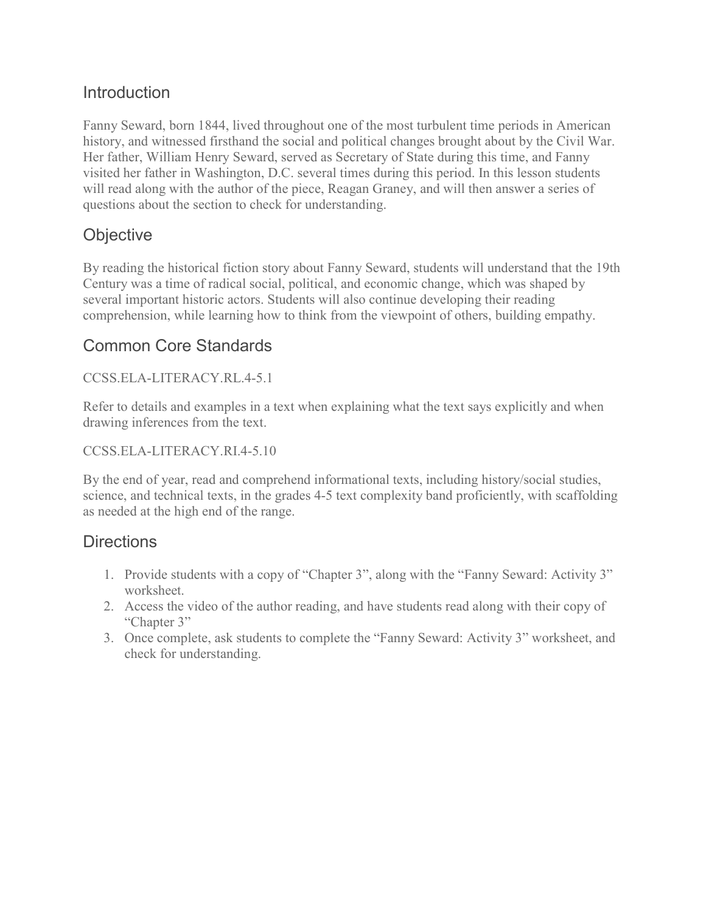## Introduction

Fanny Seward, born 1844, lived throughout one of the most turbulent time periods in American history, and witnessed firsthand the social and political changes brought about by the Civil War. Her father, William Henry Seward, served as Secretary of State during this time, and Fanny visited her father in Washington, D.C. several times during this period. In this lesson students will read along with the author of the piece, Reagan Graney, and will then answer a series of questions about the section to check for understanding.

# **Objective**

By reading the historical fiction story about Fanny Seward, students will understand that the 19th Century was a time of radical social, political, and economic change, which was shaped by several important historic actors. Students will also continue developing their reading comprehension, while learning how to think from the viewpoint of others, building empathy.

### Common Core Standards

CCSS.ELA-LITERACY.RL.4-5.1

Refer to details and examples in a text when explaining what the text says explicitly and when drawing inferences from the text.

### CCSS.ELA-LITERACY.RI.4-5.10

By the end of year, read and comprehend informational texts, including history/social studies, science, and technical texts, in the grades 4-5 text complexity band proficiently, with scaffolding as needed at the high end of the range.

### **Directions**

- 1. Provide students with a copy of "Chapter 3", along with the "Fanny Seward: Activity 3" worksheet.
- 2. Access the video of the author reading, and have students read along with their copy of "Chapter 3"
- 3. Once complete, ask students to complete the "Fanny Seward: Activity 3" worksheet, and check for understanding.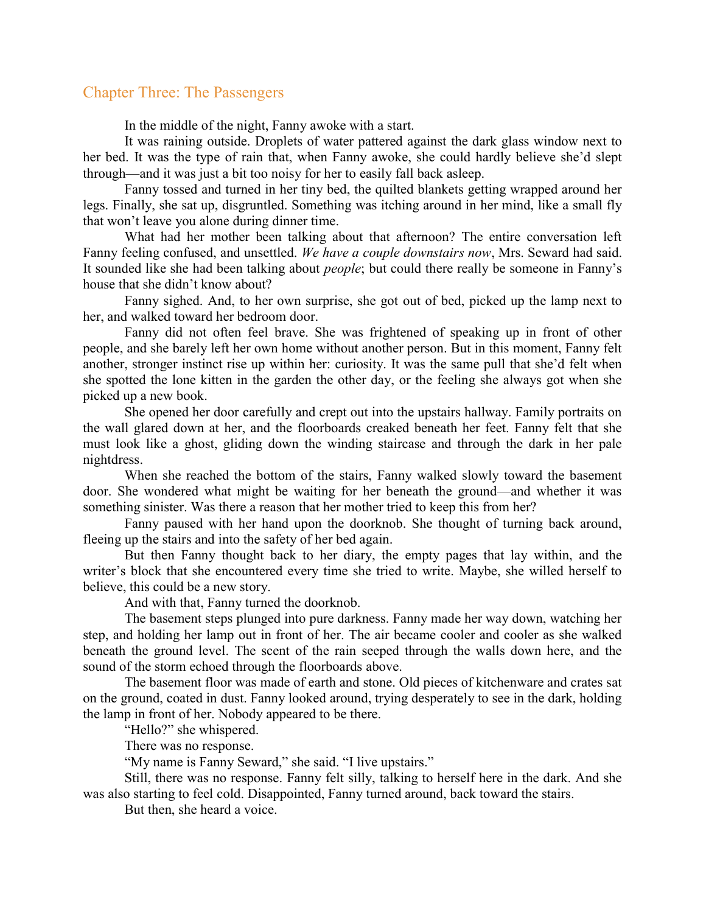#### Chapter Three: The Passengers

In the middle of the night, Fanny awoke with a start.

 It was raining outside. Droplets of water pattered against the dark glass window next to her bed. It was the type of rain that, when Fanny awoke, she could hardly believe she'd slept through—and it was just a bit too noisy for her to easily fall back asleep.

 Fanny tossed and turned in her tiny bed, the quilted blankets getting wrapped around her legs. Finally, she sat up, disgruntled. Something was itching around in her mind, like a small fly that won't leave you alone during dinner time.

 What had her mother been talking about that afternoon? The entire conversation left Fanny feeling confused, and unsettled. We have a couple downstairs now, Mrs. Seward had said. It sounded like she had been talking about people; but could there really be someone in Fanny's house that she didn't know about?

 Fanny sighed. And, to her own surprise, she got out of bed, picked up the lamp next to her, and walked toward her bedroom door.

Fanny did not often feel brave. She was frightened of speaking up in front of other people, and she barely left her own home without another person. But in this moment, Fanny felt another, stronger instinct rise up within her: curiosity. It was the same pull that she'd felt when she spotted the lone kitten in the garden the other day, or the feeling she always got when she picked up a new book.

She opened her door carefully and crept out into the upstairs hallway. Family portraits on the wall glared down at her, and the floorboards creaked beneath her feet. Fanny felt that she must look like a ghost, gliding down the winding staircase and through the dark in her pale nightdress.

When she reached the bottom of the stairs, Fanny walked slowly toward the basement door. She wondered what might be waiting for her beneath the ground—and whether it was something sinister. Was there a reason that her mother tried to keep this from her?

Fanny paused with her hand upon the doorknob. She thought of turning back around, fleeing up the stairs and into the safety of her bed again.

But then Fanny thought back to her diary, the empty pages that lay within, and the writer's block that she encountered every time she tried to write. Maybe, she willed herself to believe, this could be a new story.

And with that, Fanny turned the doorknob.

The basement steps plunged into pure darkness. Fanny made her way down, watching her step, and holding her lamp out in front of her. The air became cooler and cooler as she walked beneath the ground level. The scent of the rain seeped through the walls down here, and the sound of the storm echoed through the floorboards above.

The basement floor was made of earth and stone. Old pieces of kitchenware and crates sat on the ground, coated in dust. Fanny looked around, trying desperately to see in the dark, holding the lamp in front of her. Nobody appeared to be there.

"Hello?" she whispered.

There was no response.

"My name is Fanny Seward," she said. "I live upstairs."

Still, there was no response. Fanny felt silly, talking to herself here in the dark. And she was also starting to feel cold. Disappointed, Fanny turned around, back toward the stairs.

But then, she heard a voice.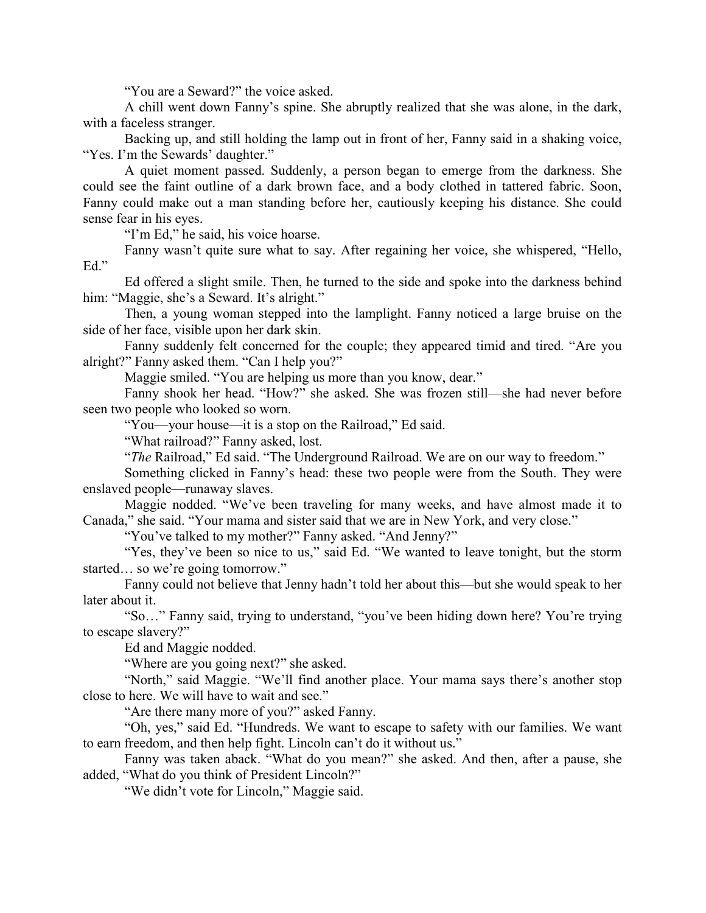"You are a Seward?" the voice asked.

A chill went down Fanny's spine. She abruptly realized that she was alone, in the dark, with a faceless stranger.

Backing up, and still holding the lamp out in front of her, Fanny said in a shaking voice, "Yes. I'm the Sewards' daughter."

A quiet moment passed. Suddenly, a person began to emerge from the darkness. She could see the faint outline of a dark brown face, and a body clothed in tattered fabric. Soon, Fanny could make out a man standing before her, cautiously keeping his distance. She could sense fear in his eyes.

"I'm Ed," he said, his voice hoarse.

Fanny wasn't quite sure what to say. After regaining her voice, she whispered, "Hello, Ed."

Ed offered a slight smile. Then, he turned to the side and spoke into the darkness behind him: "Maggie, she's a Seward. It's alright."

Then, a young woman stepped into the lamplight. Fanny noticed a large bruise on the side of her face, visible upon her dark skin.

Fanny suddenly felt concerned for the couple; they appeared timid and tired. "Are you alright?" Fanny asked them. "Can I help you?"

Maggie smiled. "You are helping us more than you know, dear."

Fanny shook her head. "How?" she asked. She was frozen still—she had never before seen two people who looked so worn.

"You—your house—it is a stop on the Railroad," Ed said.

"What railroad?" Fanny asked, lost.

"The Railroad," Ed said. "The Underground Railroad. We are on our way to freedom."

Something clicked in Fanny's head: these two people were from the South. They were enslaved people—runaway slaves.

Maggie nodded. "We've been traveling for many weeks, and have almost made it to Canada," she said. "Your mama and sister said that we are in New York, and very close."

"You've talked to my mother?" Fanny asked. "And Jenny?"

"Yes, they've been so nice to us," said Ed. "We wanted to leave tonight, but the storm started… so we're going tomorrow."

Fanny could not believe that Jenny hadn't told her about this—but she would speak to her later about it.

"So…" Fanny said, trying to understand, "you've been hiding down here? You're trying to escape slavery?"

Ed and Maggie nodded.

"Where are you going next?" she asked.

"North," said Maggie. "We'll find another place. Your mama says there's another stop close to here. We will have to wait and see."

"Are there many more of you?" asked Fanny.

"Oh, yes," said Ed. "Hundreds. We want to escape to safety with our families. We want to earn freedom, and then help fight. Lincoln can't do it without us."

Fanny was taken aback. "What do you mean?" she asked. And then, after a pause, she added, "What do you think of President Lincoln?"

"We didn't vote for Lincoln," Maggie said.